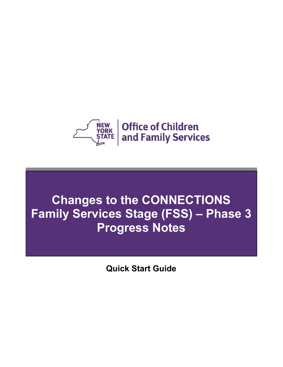

# **Changes to the CONNECTIONS Family Services Stage (FSS) – Phase 3 Progress Notes**

**Quick Start Guide**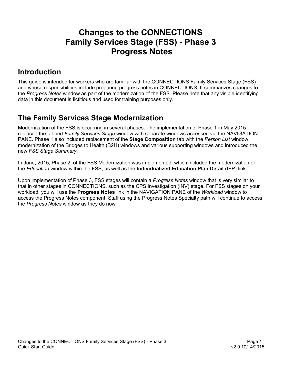# **Changes to the CONNECTIONS Family Services Stage (FSS) - Phase 3 Progress Notes**

### **Introduction**

This guide is intended for workers who are familiar with the CONNECTIONS Family Services Stage (FSS) and whose responsibilities include preparing progress notes in CONNECTIONS. It summarizes changes to the *Progress Notes* window as part of the modernization of the FSS. Please note that any visible identifying data in this document is fictitious and used for training purposes only.

### **The Family Services Stage Modernization**

Modernization of the FSS is occurring in several phases. The implementation of Phase 1 in May 2015 replaced the tabbed *Family Services Stage* window with separate windows accessed via the NAVIGATION PANE. Phase 1 also included replacement of the **Stage Composition** tab with the *Person List* window, modernization of the Bridges to Health (B2H) windows and various supporting windows and introduced the new *FSS Stage Summary*.

In June, 2015, Phase 2 of the FSS Modernization was implemented, which included the modernization of the *Education* window within the FSS, as well as the **Individualized Education Plan Detail** (IEP) link.

Upon implementation of Phase 3, FSS stages will contain a *Progress Notes* window that is very similar to that in other stages in CONNECTIONS, such as the CPS Investigation (INV) stage. For FSS stages on your workload, you will use the **Progress Notes** link in the NAVIGATION PANE of the *Workload* window to access the Progress Notes component. Staff using the Progress Notes Specialty path will continue to access the *Progress Notes* window as they do now.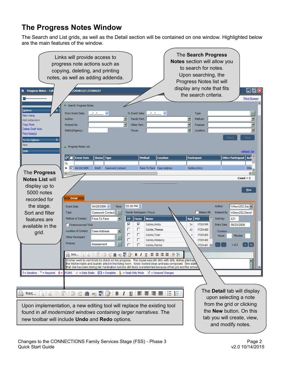## **The Progress Notes Window**

The Search and List grids, as well as the Detail section will be contained on one window. Highlighted below are the main features of the window.

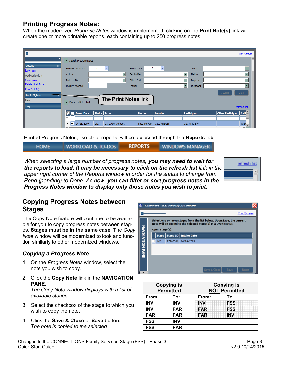### **Printing Progress Notes:**

When the modernized *Progress Notes* window is implemented, clicking on the **Print Note(s)** link will create one or more printable reports, each containing up to 250 progress notes.



Printed Progress Notes, like other reports, will be accessed through the **Reports** tab.

| <b>WORKLOAD &amp; TO-DOS</b><br><b>HOME</b> | <b>REPORTS</b> | <b>WINDOWS MANAGER</b> |
|---------------------------------------------|----------------|------------------------|
|---------------------------------------------|----------------|------------------------|

*When selecting a large number of progress notes, you may need to wait for the reports to load. It may be necessary to click on the refresh list link in the upper right corner of the Reports window in order for the status to change from Pend (pending) to Done. As now, you can filter or sort progress notes in the Progress Notes window to display only those notes you wish to print.* 



### **Copying Progress Notes between Stages**

The Copy Note feature will continue to be available for you to copy progress notes between stages. **Stages must be in the same case**. The *Copy Note* window will be modernized to look and function similarly to other modernized windows.

#### *Copying a Progress Note*

- **1** On the *Progress Notes* window, select the note you wish to copy.
- 2 Click the **Copy Note** link in the **NAVIGATION PANE**.

*The Copy Note window displays with a list of available stages.* 

- 3 Select the checkbox of the stage to which you wish to copy the note.
- 4 Click the **Save & Close** or **Save** button. *The note is copied to the selected*



| <b>Copying is</b><br><b>Permitted</b> |            |            | <b>Copying is</b><br><b>NOT Permitted</b> |  |
|---------------------------------------|------------|------------|-------------------------------------------|--|
| From:                                 | To:        | From:      | To:                                       |  |
| <b>INV</b>                            | <b>INV</b> | NV         | <b>FSS</b>                                |  |
| <b>INV</b>                            | <b>FAR</b> | <b>FAR</b> | <b>FSS</b>                                |  |
| <b>FAR</b>                            | <b>FAR</b> | <b>FAR</b> | <b>INV</b>                                |  |
| <b>FSS</b>                            | <b>INV</b> |            |                                           |  |
| <b>FSS</b>                            | <b>FAR</b> |            |                                           |  |